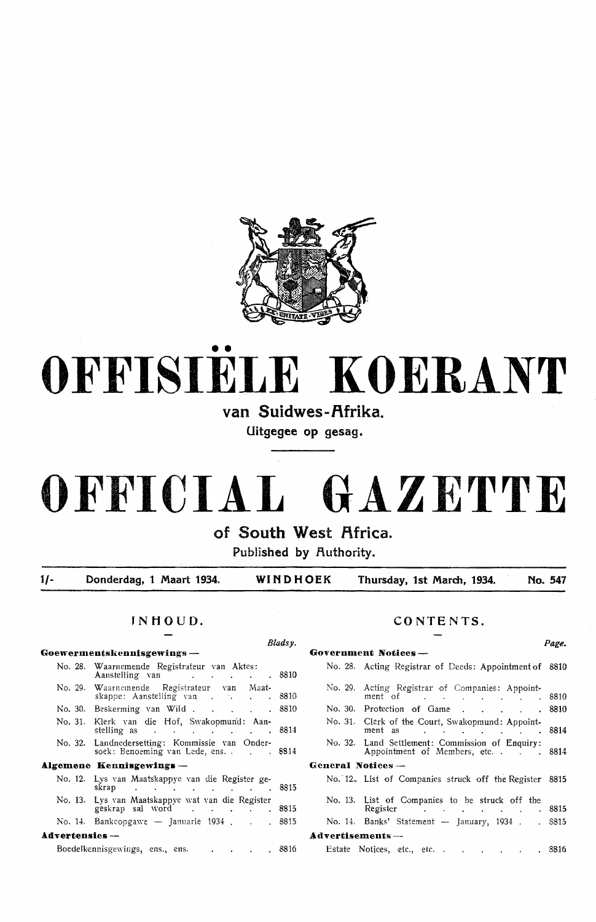

# •• **OFFISIELE KOERANT**

van Suidwes-Afrika.

**Uitgegee op gesag.** 

## **OFFICIAL GAZETTE**

of South West Africa.

**Published by Authority.** 

**1/- Donderdag, 1 Maart 1934. WINDHOEK Thursday, 1st March, 1934. No. 547** 

#### **JNHOUD.**

|                       |                                                                                                                                                                    | Bladsv. |
|-----------------------|--------------------------------------------------------------------------------------------------------------------------------------------------------------------|---------|
|                       | Goewermentskennisgewings —                                                                                                                                         |         |
|                       | No. 28. Waarnemende Registrateur van Aktes:<br>Aanstelling van de contracteur de contracteur de solomonies de contracteur de solomonies de la contracteur de       |         |
|                       | No. 29. Waarnemende Registrateur van Maat-<br>skappe: Aanstelling van 8810                                                                                         |         |
|                       |                                                                                                                                                                    |         |
|                       | No. 31. Klerk van die Hof, Swakopmund: Aan-                                                                                                                        |         |
|                       | No. 32. Landnedersetting: Kommissie van Onder-<br>soek: Benoeming van Lede, ens.                                                                                   |         |
|                       | Algemene Kennisgewings —                                                                                                                                           |         |
|                       | No. 12. Lys van Maatskappye van die Register ge-<br>skrap 8815                                                                                                     |         |
|                       | No. 13. Lys van Maatskappye wat van die Register<br>geskrap sal word contact the contract of the season of the season of the season of the season of the season of |         |
|                       | No. 14. Bankeopgawe - Januarie 1934 8815                                                                                                                           |         |
| <b>Advertensies</b> — |                                                                                                                                                                    |         |
|                       |                                                                                                                                                                    | 8816    |

#### **CONTENTS.**

|                   | Government Notices —                                                                                                                                      | $\cdots$ |
|-------------------|-----------------------------------------------------------------------------------------------------------------------------------------------------------|----------|
|                   | No. 28. Acting Registrar of Deeds: Appointment of 8810                                                                                                    |          |
| No. 29.           | Acting Registrar of Companies: Appoint-<br>ment of The Contract of The Contract of The Contract of The Contract of The Contract of the Contract of The Co |          |
|                   | No. 30. Protection of Game 8810                                                                                                                           |          |
|                   | No. 31. Clerk of the Court, Swakopmund: Appoint-<br>ment as 8814                                                                                          |          |
|                   | No. 32. Land Settlement: Commission of Enquiry:<br>Appointment of Members, etc. 8814                                                                      |          |
| General Notices — |                                                                                                                                                           |          |
|                   | No. 12. List of Companies struck off the Register 8815                                                                                                    |          |
|                   | No. 13. List of Companies to be struck off the<br>Register Register Register Register Register                                                            |          |
|                   | No. 14. Banks' Statement - January, 1934 8815                                                                                                             |          |
| Advertisements —  |                                                                                                                                                           |          |
|                   | Estate Notices, etc., etc. 8816                                                                                                                           |          |

*Page.*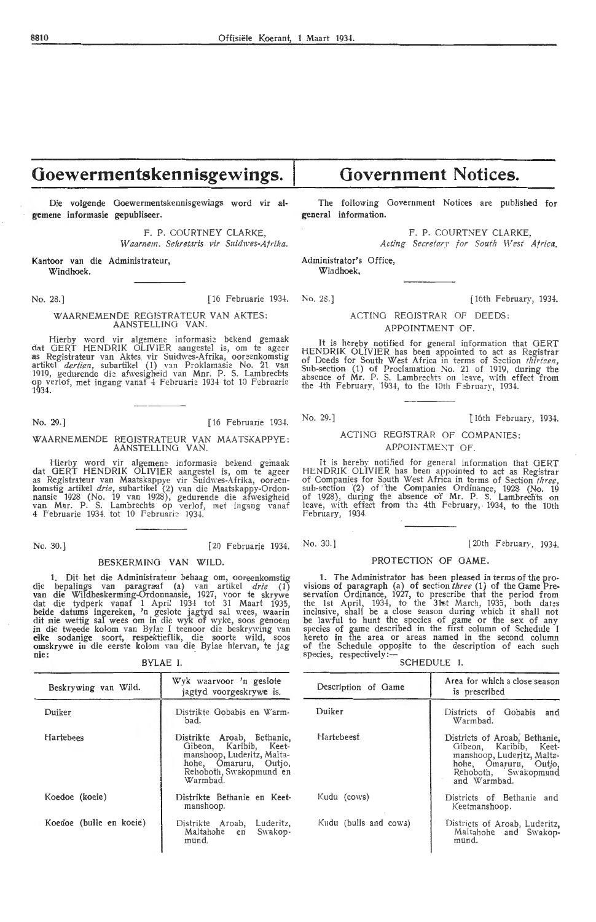## **Goewermentskennisgewings.**

**Die volgende Goewermentskennisgewings word vir algemene informasie gepubliseer.** 

> **F. P.** COURTNEY CLARKE, Waarnem. Sekretaris vir Suidwes-Afrika.

**Kantoor van die Administrateur, Windhoek.** 

No. 28.] [16 Februarie 1934. No. 28.] [16th February, 1934.

WAARNEMENDE REGJSTRATEUR VAN AKTES: AANSTELLING VAN.

Hierby word vir algemene informasie bekend gemaak dat GERT HENDRIK OLIVIER aangestel is, om te ageer as Registrateur van Aktes vir Suidwes-Afrika, ooreenkomstig artikel *dertien*, subartikel (1) van Proklamasie No. 21 van 1919, gedurende die afwesigheid van Mnr. P. S. Lambrechts op verlof, met ingang vanaf 4 Februarie 1934 tot 10 Februarie 1934.

No. 29.] [ 16 Februarie 1934.

#### WAARNEMENDE REGISTRATEUR VAN MAATSKAPPYE: AANSTELLING VAN.

Hierby word vir algemene informasie bekend gemaak dat GERT HENDRIK OLIVIER aangestel is, om te ageer as Registrateur van Maatskappye vir Suidwes-Afrika, ooreenkomstig artikel *drie,* subartikel (2) van die Maatskappy-Ordonnansie 1928 (No. 19 van 1928), gedurende die afwesigheid van Mnr. P. S. Lambrechts op verlof, met ingang vanaf 4 Februarie 1934 tot 10 Februarie 1934.

#### BESKERMING VAN WILD.

1. Dit- het die Administrateur behaag om, ooreenkomstig die bepalings van paragraaf (a) van artikel drie (1) van die Wildbeskerming-Ordonnansie, 1927, voor te skrywe dat die tydperk vanaf 1 April 1934 tot 31 Maart 1935, beide datums ingereken, 'n geslote jagtyd sal wees, waarin dit nie wettig sal wees om in die wyk of wyke, soos genoem in die tweede kolom van Bylae I teenoor die beskrywing van eilke sodanige soort, respektieflik, die soorte wild, soos<br>omskrywe in die eerste kolom van die Bylae hiervan, te jag nie:

BYLAE I.

| Beskrywing van Wild.    | Wyk waarvoor 'n geslote<br>jagtyd voorgeskrywe is.                                                                                                 |  |
|-------------------------|----------------------------------------------------------------------------------------------------------------------------------------------------|--|
| Duiker                  | Distrikte Gobabis en Warm-<br>bad.                                                                                                                 |  |
| Hartebees               | Distrikte Aroab, Bethanie,<br>Gibeon, Karibib, Keet-<br>manshoop, Luderitz, Malta-<br>hohe, Omaruru, Outjo,<br>Rehoboth, Swakopmund en<br>Warmbad. |  |
| Koedoe (koeie)          | Distrikte Bethanie en Keet-<br>manshoop.                                                                                                           |  |
| Koedoe (bulle en koeie) | Distrikte Aroab, Luderitz,<br>Maltahohe en<br>Swakop-<br>mund.                                                                                     |  |

## **Government Notices.**

The following Government Notices are published for **general** information.

F. P. COURTNEY CLARKE.

Acting Secretary for South West Africa. Administrator's Office,

Windhoek,

ACTING REGISTRAR OF DEEDS: APPOINTMENT OF.

It is hereby notified for general information that GERT HENDRIK OLIVIER has been appointed to act as Registrar of Deeds for South West Africa in terms of Section *thirisen*,<br>Sub-section (1) of Proclamation No. 21 of 1919, during the absence of Mr. P. S. Lambrechts on leave, with effect from the  $4th$  February, 1934, to the 10th February, 1934

No. 29.] 16th February, 1934.

[20th February, 1934.

#### ACTING REGISTRAR OF COMPANIES: APPOINTMENT OF.

It is hereby notified for general information that GERT HENDRIK OLIVIER has been appointed to act as Registrar of Companies for South West Africa in terms of Section *three*, sub-section (2) of the Companies Ordinance, 1928 (No. 19 of 1928), during the absence of Mr. P. S. Lambrechts on leave, with effect from the 4th February, 1934, to the 10th February, 1934.

No. 30.] [20 Februarie 1934. No. 30.]

#### PROTECTION OF GAME.

1. The Administrator has been pleased *in* terms of the provisions of paragraph (a) of section *three* (1) of the Game Preservation Ordinance, 1927, to prescribe that the period from the 1st April,  $193\frac{1}{1}$ , to the 31st March, 1935, both dates inclusive, shall be a close season during which it shall not be lawful to hunt the species of game or the sex of any species of game described in the first column of Schedule I hereto in the area or areas named in the second column of the Schedule opposite to the description of each such species, respectively :-

SCHEDULE I.

| Description of Game   | Area for which a close season<br>is prescribed                                                                                                         |
|-----------------------|--------------------------------------------------------------------------------------------------------------------------------------------------------|
| Duiker                | Gobabis<br>Districts of<br>and<br>Warmbad.                                                                                                             |
| <b>Hartebeest</b>     | Districts of Aroab, Bethanie,<br>Gibeon, Karibib, Keet-<br>manshoop, Luderitz, Malta-<br>hohe, Omaruru, Outjo,<br>Rehoboth, Swakopmund<br>and Warmhad. |
| Kudu (cows)           | Districts of Bethanie and<br>Keetmanshoop.                                                                                                             |
| Kudu (bulls and cows) | Districts of Aroab, Luderitz,<br>Maltahohe and Swakop-<br>mund.                                                                                        |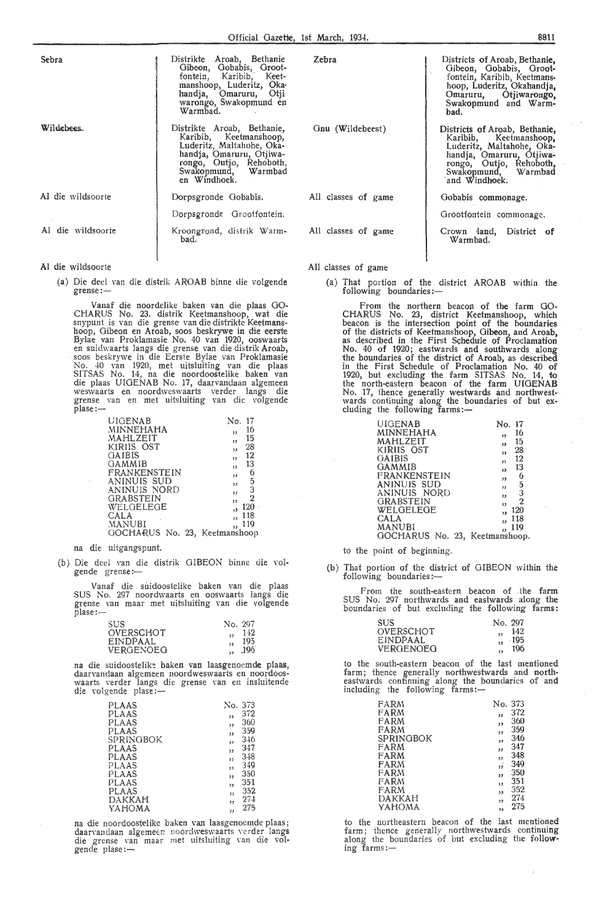| Sebra             | Distrikte Aroab, Bethanie<br>Gibeon, Gobabis, Groot-<br>fontein, Karibib, Keet-<br>manshoop, Luderitz, Oka-<br>handja, Omaruru, Otji<br>warongo, Swakopmund en<br>Warmbad.      |
|-------------------|---------------------------------------------------------------------------------------------------------------------------------------------------------------------------------|
| Wildebees.        | Distrikte Aroab, Bethanie,<br>Karibib, Keetmanshoop,<br>Luderitz, Maltahohe, Oka-<br>handja, Omaruru, Otjiwa-<br>rongo, Outjo, Rehoboth,<br>Swakopmund, Warmbad<br>en Windhoek. |
| Al die wildsoorte | Dorpsgronde Gobabis.                                                                                                                                                            |
|                   | Dorpsgronde Grootfontein.                                                                                                                                                       |
| Al die wildsoorte | Kroongrond, distrik Warm-<br>bad.                                                                                                                                               |

#### **Al** die wildsoorte

(a) Die dee! van die distrik AROAB binne die volgende grense:-

Vanaf die noordelike baken van die plaas 00- CHARUS No. 23. distrik Keetmanshoop, wat die snypunt is van die grense van die distrikte Keetmanshoop, Gibeon en Aroab, soos beskrywe in die eerste Bylae van Proklamasie No. 40 van 1920, ooswaarts<br>en suidwaarts langs die grense van die distrik Aroab,<br>soos beskrywe in die Eerste Bylae van Proklamasie No. 40 van 1920, met uitsluiting van die plaas SITSAS No. 14, na die noordoostelike baken van die plaas UIOENAB No. 17, daarvandaan algemeen weswaarts en noordweswaarts verder langs die grense van en met uitsluiting van die volgende  $\bar{p}$ lase: $-$ 

| <b>UIGENAB</b>                | No.<br>17                      |
|-------------------------------|--------------------------------|
| MINNEHAHA                     | 16<br>33                       |
| MAHLZEIT                      | 15<br>$_{13}$                  |
| KIRIIS OST                    | 28<br>,,                       |
| GAIBIS                        | 12<br>53                       |
| GAMMIB                        | 13<br>, 1                      |
| FRANKENSTEIN                  | 6<br>33                        |
| ANINUIS SUD                   | $\overline{5}$<br>12<br>3      |
| ANINUIS NORD                  | $52^{\circ}$<br>$\overline{2}$ |
| <b>GRABSTEIN</b><br>WELGELEGE | 33<br>120                      |
| CALA                          | 118                            |
| <b>MANUBI</b>                 | 119                            |
| GOCHARUS No. 23, Keetmanshoop |                                |

#### na die uitgangspunt.

(b) Die dee! van die distrik OIBEON binne die volgende grense :-

Vanaf die suidoostelike baken van die plaas SUS No. 297 noordwaarts en ooswaarts iangs die grense van maar met uitsluiting van die volgende plase:-

| SUS.            | No. 297   |  |
|-----------------|-----------|--|
| OVERSCHOT       | 142<br>11 |  |
| <b>EINDPAAL</b> | 195       |  |
| VERGENOEG       | -196      |  |

na die suidoostelike baken van laasgenoemde plaas, daarvandaan algemeen noordweswaarts en noordoos- waarts verder langs die grense rnn en insluitende die volgende plase :-

| <b>PLAAS</b>                                        |  | No. 373 |     |  |
|-----------------------------------------------------|--|---------|-----|--|
| PLAAS                                               |  | 33      | 372 |  |
| <b>PLAAS</b>                                        |  | ,,      | 360 |  |
| PLAAS                                               |  | ,,      | 359 |  |
| SPRINGBOK                                           |  | ,,      | 346 |  |
| PLAAS                                               |  | 33      | 347 |  |
| <b>PLAAS</b>                                        |  | 33      | 348 |  |
| PLAAS                                               |  | ,,      | 349 |  |
| <b>PLAAS</b>                                        |  | ,,      | 350 |  |
| PLAAS                                               |  | 33      | 351 |  |
| PLAAS                                               |  | 53      | 352 |  |
| DAKKAH                                              |  | 55      | 274 |  |
| YAHOMA                                              |  | ,,      | 275 |  |
|                                                     |  |         |     |  |
| na die noordoostelike baken van laasgenoemde plaas; |  |         |     |  |

daarvandaan algemeen noordweswaarts verder langs die grense van maar met uitsluiting van die vol-<br>gende plase:—

| Zebra               | Districts of Aroab, Bethanie,<br>Gibeon, Gobabis, Groot-<br>fontein, Karibib, Keetmans-<br>hoop, Luderitz, Okahandia,<br>Omaruru, Otjiwarongo,<br>Swakopmund and Warm-<br>bad.      |  |
|---------------------|-------------------------------------------------------------------------------------------------------------------------------------------------------------------------------------|--|
| Gnu (Wildebeest)    | Districts of Aroab, Bethanie,<br>Karibib, Keetmanshoop,<br>Luderitz, Maltahohe, Oka-<br>handja, Omaruru, Otjiwa-<br>rongo, Outjo, Rehoboth,<br>Swakopmund, Warmbad<br>and Windhoek. |  |
| All classes of game | Gobabis commonage.                                                                                                                                                                  |  |
|                     | Grootfontein commonage.                                                                                                                                                             |  |
| All classes of game | Crown land,<br>District<br>оf<br>Warmbad.                                                                                                                                           |  |

#### All classes of game

(a) That portion of the district AROAB within the following boundaries:-

From the northern beacon of the farm GO-CHARUS No. 23, district Keetmanshoop, which beacon is the intersection point of the boundaries of the districts of Keetmanshoop, Oibeon, and Aroab, as described in the First Schedule of Proclamation No. 40 of 1920; eastwards and southwards along the boundaries of the district of Aroab, as described in the First Schedule of Proclamation No. 40 of 1920, but excluding the farm SITSAS No. 14, to the north-eastern beacon of the farm UIOENAB No. 17, thence generally westwards and northwestwards continuing along the boundaries of but ex-<br>cluding the following farms:-

| <b>UIGENAB</b>                 | No. 17                                 |
|--------------------------------|----------------------------------------|
| MINNEHAHA                      | 16                                     |
| MAHLZEIT                       | "<br>15                                |
|                                | ,,                                     |
| KIRIIS OST                     | 28<br>,,                               |
| GAIBIS                         | 12<br>33                               |
| <b>GAMMIB</b>                  | 13<br>, 1                              |
| <b>FRANKENSTEIN</b>            | 6<br>.99                               |
| ANINUIS SUD                    | $\overline{5}$<br>,,                   |
| ANINUIS NORD                   | 3<br>$\overline{\mathbf{3}}$           |
| <b>GRABSTEIN</b>               | $\mathbf 2$<br>$\overline{\mathbf{3}}$ |
| WELGELEGE                      | 120                                    |
| CALA                           | 118                                    |
| <b>MANUBI</b>                  | 12<br>119                              |
| GOCHARUS No. 23. Keetmanshoop. |                                        |
|                                |                                        |

to the point of beginning.

(b) That portion of the district of OIBEON within the following boundaries:-

F rom the south-eastern beacon of .the **farm**  SUS No: 297 northwards and eastwards along the boundaries of but excluding the following farms:

| SUS.      | No. 297      |
|-----------|--------------|
| OVERSCHOT | 142<br>٩ħ    |
| EINDPAAL  | $-195$<br>13 |
| VERGENOEG | 196          |

to the south-eastern beacon of the last mentioned farm; thence generally northwestwards and northeastwards continuing along the boundaries of and<br>including the following farms:-

| FARM             | No. 373                 |     |
|------------------|-------------------------|-----|
| FARM             | ,,                      | 372 |
| FARM             | ,,                      | 360 |
| FARM             | $-11$                   | 359 |
| <b>SPRINGBOK</b> | ,,                      | 346 |
| FARM             | ,,                      | 347 |
| FARM             | ,,                      | 348 |
| FARM             | زو                      | 349 |
| FARM             | ź٥                      | 350 |
| FARM             | 33                      | 351 |
| FARM             | ,,                      | 352 |
| DAKKAH           | $\overline{\mathbf{z}}$ | 274 |
| үанома           | ,,                      | 275 |

to the northeastern beacon of the last mentioned farm; thence generally northwestwards continuing along the boundaries of but excluding the following farms:-

 $\overline{\phantom{a}}$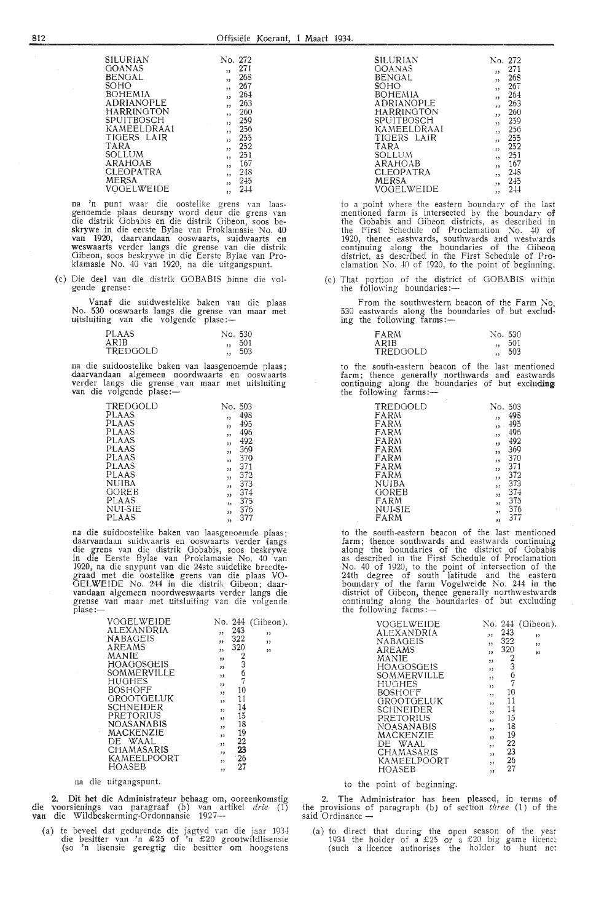|    |    | <b>GOANAS</b><br>BENGAL<br>SOHO<br>TARA<br>SOLLUM<br>MERSA | <b>SILURIAN</b><br><b>BOHEMIA</b><br><b>ADRIANOPLE</b><br><b>HARRINGTON</b><br>SPUITBOSCH<br>KAMEELDRAAI<br>TIGERS LAIR<br>ARAHOAB<br>CLEOPATRA<br>VOGELWEIDE |                         | No. 272<br>,<br>55<br>,,<br>, 2<br>53<br>,<br>ر ر<br>,,<br>,,<br>,,<br>,,<br>,1<br>, ,<br>,<br>, | 271<br>268<br>267<br>264<br>263<br>260<br>259<br>256<br>255<br>252<br>251<br>167<br>248<br>245<br>244 |       |
|----|----|------------------------------------------------------------|---------------------------------------------------------------------------------------------------------------------------------------------------------------|-------------------------|--------------------------------------------------------------------------------------------------|-------------------------------------------------------------------------------------------------------|-------|
| na | 'n |                                                            |                                                                                                                                                               | punt waar die oostelike |                                                                                                  | grens van                                                                                             | laas- |

genoemde plaas deursny word deur die grens van<br>die distrik Gobabis en die distrik Gib**e**on, soos beskrywe in die eerste Bylae van Proklamasie No. 40<br>van 1920, daarvandaan ooswaarts, suidwaarts en<br>weswaarts verder langs die grense van die distrik Gibeon, soos beskrywe in die Eerste Bylae van Proklamasie No. 40 van 1920, na die uitgangspunt.

(c) Die dee! van die distrik GO BABIS binne die volgende grense :

Vanaf die suidwestelike baken van die plaas No. 530 ooswaarts langs die grense van maar met<br>uitsluiting van die volgende plase:—

| PLAAS    | No. 530 |
|----------|---------|
| ARIB     | 501     |
| TREDGOLD | 503     |

na die suidoostelike baken van laasgenoemde plaas; daarvandaan algemeen noordwaarts en ooswaarts verder langs die grense van maar met uitsluiting<br>van die volgende plase:—

| TREDGOLD     | No. | 503 |
|--------------|-----|-----|
| PLAAS        | دد  | 498 |
| PLAAS        | دد  | 495 |
| PLAAS        | ,,  | 496 |
| <b>PLAAS</b> |     | 492 |
| PLAAS        | ,,  | 369 |
| PLAAS        | ر ر | 370 |
| PLAAS        | ,,  | 371 |
| PLAAS        | دد  |     |
|              | ,,  | 372 |
| NUIBA        | ,,  | 373 |
| <b>GOREB</b> | ود  | 374 |
| PLAAS        | ,,  | 375 |
| NUI-SIE      | ر د | 376 |
| PLAAS        | ,,  | 377 |

PLAAS " <sup>377</sup> na die suidoostelike baken van laasgenoemde plaas; daarvandaan suidwaarts en ooswaarts verder fangs die grens van die distrik Gobabis, soos beskrywe in die Eerste Bylae van Proklamasie No. 40 van 1920, na die snypunt van die 24ste suidelike breedtegraad met die oostelike grens van die plaas VO-GEL WEIDE No. 244 in die distrik Gibeon; daarvandaan algemeen noordweswaarts verder langs die grense van maar met uitsluiting van die volgende plase:-

| VOGELWEIDE           |                         | No. 244  | (Gibeon). |
|----------------------|-------------------------|----------|-----------|
| ALEXANDRIA           | , ,                     | 243      | ,         |
| <b>NABAGEIS</b>      | ,                       | 322      | ,,        |
| AREAMS               | 33                      | 320      | ,,        |
| MANIE                | ,,                      |          |           |
| HOAGOSGEIS           | ,,                      | $2$ 367  |           |
| SOMMERVILLE          | ,,                      |          |           |
| HUGHES               | , ,                     |          |           |
| BOSHOFF              | ٠,                      | 10       |           |
| GROOTGELUK           | , ,                     | 11       |           |
| SCHNEIDER            | ,,                      | 14       |           |
| PRETORIUS            | 12                      | 15       |           |
| <b>NOASANABIS</b>    | ,,                      | 18       |           |
| MACKENZIE<br>DE WAAL | 33                      | 19<br>22 |           |
| CHAMASARIS           | $\overline{\mathbf{1}}$ | 23       |           |
| KAMEELPOORT          | , ,                     | 26       |           |
| HOASEB               | ,                       | 27       |           |
|                      | , ,                     |          |           |
|                      |                         |          |           |

na die uitgangspunt.

2. Dit het die Administrateur behaag om, ooreenkomstig die 'voorsienings van paragraaf (b) van artikel *drie* ( 1) **van** die Wildbeskerming-Ordonnansie 1927-

(a) te beveel dat gedurende die jagtyd van die jaar 1934 die besitter van 'n £25 of 'n £20 grootwildlisensie (so 'n lisensie geregtig die besitter om hoogstens

| SILURIAN          | No. 272                 |     |
|-------------------|-------------------------|-----|
| GOANAS            | ,                       | 271 |
| BENGAL            |                         | 268 |
|                   | $\overline{\mathbf{3}}$ |     |
| SOHO              | ,,                      | 267 |
| <b>BOHEMIA</b>    | ود                      | 264 |
| <b>ADRIANOPLE</b> |                         | 263 |
| HARRINGTON        | ,,                      | 260 |
|                   | ,                       |     |
| SPUITBOSCH        | 93                      | 259 |
| KAMEELDRAAI       | ,                       | 256 |
| TIGERS LAIR       |                         | 255 |
|                   | 1, 3                    |     |
| TARA              | ,,                      | 252 |
| SOLLUM            | ,,                      | 251 |
| ARAHOAB           |                         | 167 |
| CLEOPATRA         | 53                      | 248 |
|                   | ,,                      |     |
| MERSA             | , ,                     | 245 |
| VOGFI WEIDE       | 55                      | 244 |
|                   |                         |     |

to a point where the eastern boundary of ihe last mentioned farm is intersected by the boundary of the Gobabis and Gibeon districts, as described in<br>the First Schedule of Proclamation No. 40 of the First Schedule of Proclamation No. 40 of 1920, thence eastwards, southwards and westwards continuing along the boundaries of the Gibeon district, as described in the First Schedule of Proclamation No. 40 of 1920, to the point of beginning.

(c) That portion of the district of GOBABIS within the following boundaries:-

From the southwestern beacon of the Farm No. 530 eastwards along the boundaries of but exclud-ing the following farms:-

| FARM     | No. 530 |
|----------|---------|
| ARIB     | 501     |
| TREDGOLD | 503     |

to the south-eastern beacon of the last mentioned farm; thence generally northwards and eastwards continuing along the boundaries of but **excluding,**  the following farms:-

| TREDGOLD | No.                     | 503 |
|----------|-------------------------|-----|
| FARM     | دد                      | 498 |
| FARM     | دد                      | 495 |
| FARM     | ,,                      | 496 |
| FARM     | 33                      | 492 |
| FARM     | "                       | 369 |
| FARM     | 55                      | 370 |
| FARM     | 23                      | 371 |
| FARM     | ,,                      | 372 |
| NUIBA    | ر د                     | 373 |
| GOREB    | ,,                      | 374 |
| FARM     | وو                      | 375 |
| NUI-SIE  | $\overline{\mathbf{1}}$ | 376 |
| FARM     | 11                      | 377 |
|          |                         |     |

to the south-eastern beacon of the last mentioned io the south-eastern beacon of ihe last mentioned farm; thence southwards and eastwards continuing along the boundaries of the district of Gobabis as described in the First Schedule of Proclamation No. 40 of 1920, to the point of intersection of the 24th degree of south latitude and the eastern boundary of the farm Vogelweide No.  $244$  in the district of Gibeon, thence generally northwestwards continuing along the boundaries of but excluding<br>the following farms:-

to the point of beginning.

2. The Administrator has been pleased, in terms of the provisions of paragraph *(b)* of section *three* (l) of the said Ordinance -

(a) to direct that during the open season of the year 1934 the holder of a £25 or a £20 big game licence (such a licence authorises the holder to hunt nc: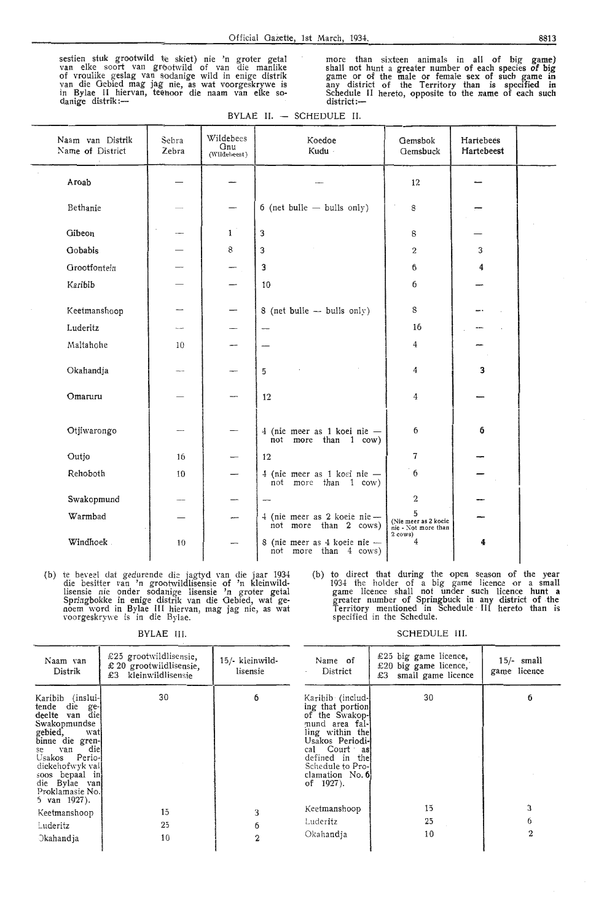sestien stuk grootwild te skiet) nie 'n groter getal van elke soort van grootwild of van die manlike of vroulike geslag van sodanige wild in enige distrik<br>van die Gebied mag jag- nie, as wat voorgeskrywe is in Bylae II hiervan, teenoor die naam van elke so-<br>danige distrik:---

more than sixteen animals in all of big **game)**  shall not hunt a greater number of each species of big game or of the male or female sex of such game in any district of the Territory than is specified **in**  Schedule II hereto, opposite to the name of each such district:-

|  | BYLAE II. — SCHEDULE II. |  |
|--|--------------------------|--|
|--|--------------------------|--|

| Naam van Distrik<br>Name of District | Sebra<br>Zebra | Wildebees<br>Gnu<br>(Wildebeest) | Koedoe<br>Kudu                                         | Gemsbok<br>Gemsbuck                                                    | Hartebees<br>Hartebeest |  |
|--------------------------------------|----------------|----------------------------------|--------------------------------------------------------|------------------------------------------------------------------------|-------------------------|--|
| Aroab                                |                |                                  |                                                        | 12                                                                     |                         |  |
| Bethanie                             |                |                                  | $6$ (net bulle $-$ bulls only)                         | 8                                                                      |                         |  |
| Gibeon                               |                | 1                                | 3                                                      | 8                                                                      |                         |  |
| Gobabis                              |                | 8                                | 3                                                      | 2                                                                      | 3                       |  |
| Grootfontein                         |                |                                  | 3                                                      | 6                                                                      |                         |  |
| Karibib                              |                |                                  | 10                                                     | 6                                                                      |                         |  |
| Keetmanshoop                         | —              |                                  | 8 (net bulle - bulls only)                             | 8                                                                      |                         |  |
| Luderitz                             | $\sim$         |                                  |                                                        | 16                                                                     |                         |  |
| Maltahohe                            | 10             |                                  |                                                        | 4                                                                      |                         |  |
| Okahandja                            |                |                                  | 5                                                      | 4                                                                      | 3                       |  |
| Omaruru                              |                |                                  | 12                                                     | 4                                                                      |                         |  |
| Otjiwarongo                          |                |                                  | 4 (nie meer as 1 koei nie -<br>not more than 1 cow)    | 6                                                                      | 6                       |  |
| Outjo                                | 16             |                                  | 12                                                     | 7                                                                      |                         |  |
| Rehoboth                             | 10             |                                  | 4 (nie meer as 1 koei nie -<br>more than 1 cow)<br>not | 6                                                                      |                         |  |
| Swakopmund                           |                |                                  |                                                        | 2                                                                      |                         |  |
| Warmbad                              |                | --                               | 4 (nie meer as 2 koeie nie -<br>not more than 2 cows)  | 5<br>(Nie meer as 2 koeie<br>nie - Not more than<br>$2 \text{ cows}$ ) |                         |  |
| Windhoek.                            | 10             |                                  | 8 (nie meer as 4 koeie nie -<br>not more than 4 cows)  | 4                                                                      | 4                       |  |

(b) ie beveel dat gedurende die jagtyd van die jaar 1934 die besitter van 'n grootwildlisensie of 'n kleinwildlisensie nie onder sodanige lisensie 'n groter getal Springbokke in enige distrik van die Gebied, wat ge- noem word in Bylae III hiervan, mag jag nie, as wat voorgeskrywe is in die Bylae.

BYLAE Ill.

SCHEDULE III.

specified in the Schedule.

(b) to direct that during the open season of the **year**  1934 the holder of a big game licence or a small game licence shall not under such licence hunt a greater number of Springbuck in any district of the Territory mentioned in Schedule · III hereto than is

| Naam van<br>Distrik                                                                                                                                                                                                                         | £25 grootwildlisensie,<br>$£ 20$ grootwildlisensie,<br>kleinwildlisensie<br>£З | 15/- kleinwild-<br>lisensie | Name of<br>District                                                                                                                                                                                      | £25 big game licence,<br>£20 big game licence,<br>small game licence<br>£3 | $15/-$ small<br>game licence |
|---------------------------------------------------------------------------------------------------------------------------------------------------------------------------------------------------------------------------------------------|--------------------------------------------------------------------------------|-----------------------------|----------------------------------------------------------------------------------------------------------------------------------------------------------------------------------------------------------|----------------------------------------------------------------------------|------------------------------|
| Karibib (inslui-<br>tende<br>die ge-<br>deelte van die<br>Swakopmundse<br>gebied, wat<br>binne die gren-<br>diel<br>van<br>se<br>Usakos Perio-l<br>diekehofwyk val<br>soos bepaal in<br>die Bylae van<br>Proklamasie No.<br>5 van $1927$ ). | 30                                                                             | 6                           | Karibib (includ-<br>ing that portion<br>of the Swakop-<br>mund area fal-<br>ling within the<br>Usakos Periodi-<br>cal Court as<br>defined in thel<br>Schedule to Pro-<br>clamation No. 6<br>of $1927$ ). | 30                                                                         | 6                            |
| Keetmanshoop                                                                                                                                                                                                                                | 15                                                                             | 3                           | Keetmanshoop                                                                                                                                                                                             | 15                                                                         | 3                            |
| Luderitz                                                                                                                                                                                                                                    | 25                                                                             | 6                           | Luder <b>i</b> tz                                                                                                                                                                                        | 25                                                                         | 6                            |
| Okahandja                                                                                                                                                                                                                                   | 10                                                                             |                             | Okahandia                                                                                                                                                                                                | 10                                                                         | $\mathbf{2}$                 |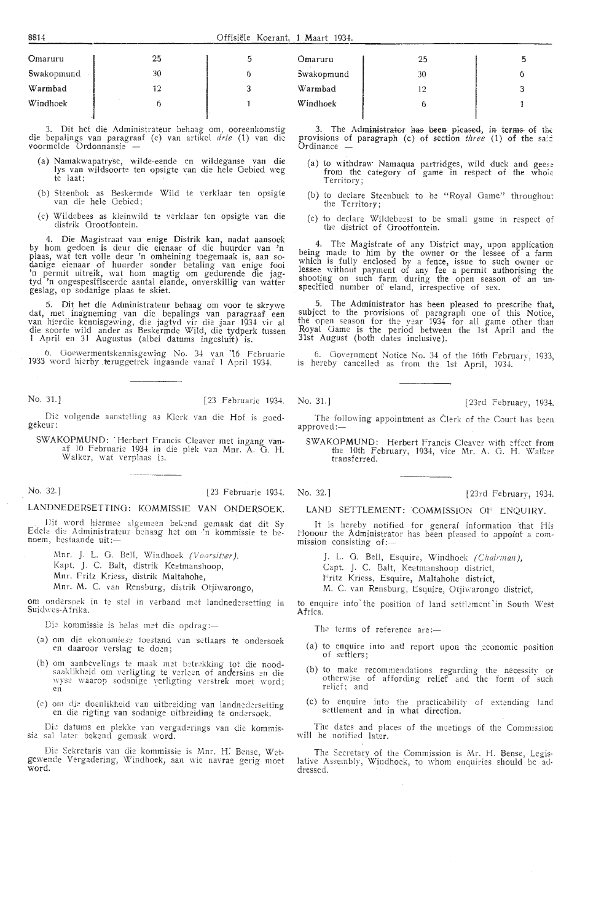| Omaruru    | 25 |  |
|------------|----|--|
| Swakopmund | 30 |  |
| Warmbad    | 12 |  |
| Windhoek   |    |  |
|            |    |  |

Dit het die Administrateur behaag om, ooreenkomstig die bepalings van paragraaf (c) van artikel *drie* (1) van die voormelde Ordonnansie

- (a) Namakwa patryse, wilde-eende en wildeganse van die lys van wildsoorte ten opsigte van die hele Gebied weg te laat;
- (b) Skenbok as Beskermde Wild te verklaar ten opsigte van die hele Gebied;
- (c) Wildebees as kleinwild te verklaar ten opsigte van die distrik Grootfontein.

4. Die Magistraat van enige Distrik kan, nadat aansoek by horn gedoen is deur die eienaar of die huurder van 'n plaas, wat ten voile deur 'n omheining toegemaak is, aan sodanige eienaar of huurder sonder betaling van enige fooi 'n permit uitreik, wat horn magtig om gedurende die jagtyd 'n ongespesifiseerde aantal elande, onverskillig van watter geslag, ap sodanige plaas te skiet.

5. Dit het die Administrateur behaag om voor te skrywe dat, met inagneming van die bepalings van paragraaf een van hierdie kennisgewing, die jagtyd vir die jaar 1934 vir al die soorte wild ander as Beskermde Wild, die tydperk tussen I April en 31 Augustus (albei datums ingesluit) is.

6. Ooewermentskennisgewing No. 34 van '16 Februarie 1933 word hierby teruggetrek ingaande vanaf 1 April 1934.

No. 31.] [23 Februarie 1934. No. 31.] [23rd February, 1934.

Die volgende aanstelling as Klerk van die Hof is goedgekeur:

SWAKOPMUND: 'Herbert Francis Cleaver met ingang vanaf 10 Februarie 1934 in die plek van Mnr. A. G. H. Walker, wat verplaas i3.

No. 32.] [23 Februarie 1934. No. 32.] [23rd February, 1934.

#### LANDNEDERSETTING: KOMMISSIE VAN ONDERSOEK.

. Dit word hiermee algemeen bekend gemaak dat dit Sy Edele die Administrateur behaag het om 'n kommissie te be-<br>noem, bestaande uit:—

- Mnr. J. L. G. Bell, Windhoek *(Voorsitter)*.
- Kapt. J. C. Balt, distrik Keetmanshoop,
- Mnr. Fritz Kriess, distrik Maltahohe,

Mnr. M. C. van Rensburg, distrik Otjiwarongo,

om ondersoek in te stel in verband met landnedersetting in Suidwes-Afrika.

Die kommissie is belas met die opdrag :-

- (a) om die ekonomiese toestand van setlaars te ondersoek en daaroor verslag te doen;
- (b) om aanbevelings te maak met betrekking tot die noodsaaklikheid om verligting te verleen of andersins en die wyse waarop sodanige verligting verstrek moet word;<br>en
- (c) om die doenlikheid van uitbreiding van landnedersetting en die rigting van sodanige uitbreiding te ondersoek.

Die datums en plekke van vergaderings van die kommissie sal later bekend gemaak word.

Die Sekretaris van die kommissie is Mnr. H. Bense, Wet-gewende Vergadering, Windhoek, aan wie navrae gerig moet word.

| Omaruru    | 25 |  |
|------------|----|--|
| Swakopmund | 30 |  |
| Warmbad    | 19 |  |
| Windhoek   |    |  |
|            |    |  |

The Administrator has been pleased, in terms of the provisions of paragraph (c) of section *three* (1) of the said

- (a) to withdraw Namaqua partridges, wild duck and geese from the category of game in respect of the whole<br>Territory;
- (b) to declare Steenbuck to be "Royal Game" throughout the Territory;
- (c) to declare Wildebeest *to* be small game in respect of the district of Grootfontein.

4. The Mag istrate of any District may, upon application being made *to* him by the owner or the lessee of a farm which is fully enclosed by a fence, issue to such owner or lessee without payment of any fee a permit authorising the shooting on such farm during the open season of an unspecified number of eland, irrespective of sex.

5. The Administrator has been pleased to prescribe that, subject to the provisions of paragraph one of this Notice, the open season for the year  $1934$  for all game other than Royal Game is the period between the 1st April and the 31st August (both dates inclusive).

6. Government Notice No. 34 of the 16th February, 1933, is hereby cancelled as from the 1st April, 1934.

The following appointment as Clerk of the Court has been approved:-

SWAKOPMUND: Herbert Francis Cleaver with effect from the 10th February, 1934, vice Mr. A. G. H. Walker transferred.

LAND SETTLEMENT: COMMISSION OF ENQUIRY.

It is hereby notified for general information that His Honour the Administrator has been pleased to appoint a com-<br>mission consisting of:—

J. L. G. Bell, Esquire, Windhoek (Chairman),

Capt. J. C. Balt, Keetmanshoop district,

Fritz Kriess, Esquire, Maltahohe district,

M. C. van Rensburg, Esquire, Otjiwarongo district,

to enquire into the position of land settlement in South West Africa.

The terms of reference are:-

- (a) to enquire into and report upon the economic position of settlers;
- (b) to make recommendations regarding the necessity or otherwise of affording relief and the form of such<br>relief; and
- (c) to enquire into the practicability of extending land settlement and in what direction.

The dates and places of the meetings of the Commission will be notified later.

The Secretary of the Commission is Mr, H. Bense, Legis-<br>lative Assembly, Windhoek, to whom enquiries should be addressed.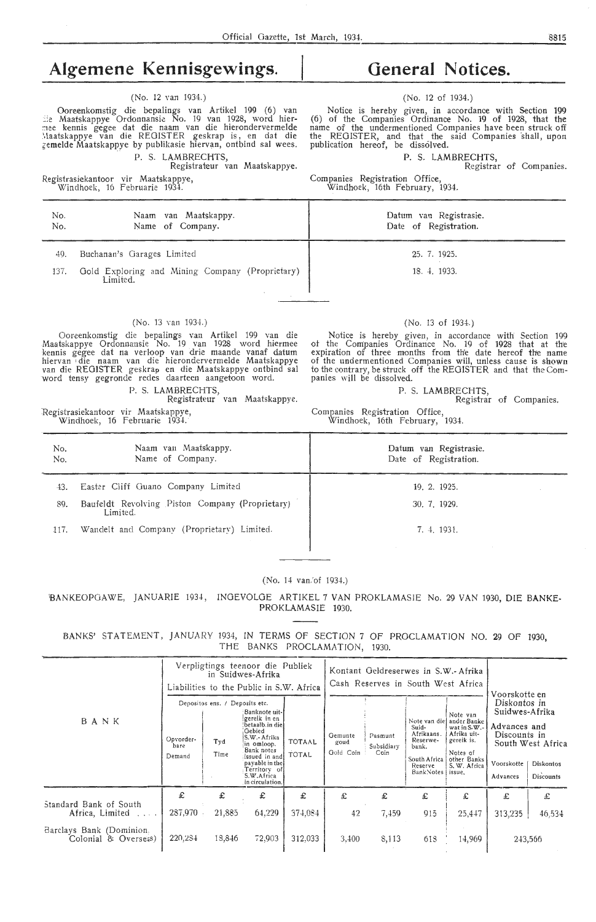## **Algemene Kennisgewings.**

#### (No. 12 van 1934.)

Ooreenkomstig die bepalings van Artikel 199 (6) van<br>Lie Maatskappye Ordonnansie No. 19 van 1928, word hiermee kennis gegee dat die naam van die hierondervermelde<br>Maatskappye van die REGISTER geskrap is, en dat die ;;emelde Maatskappye by publikasie hiervan, ontbind sal wees. P. S. LAMBRECHTS,

Registrateur van Maatskappye.

Registrasiekantoor vir Maatskappye, Windhoek, 16 Februarie 1934.

## **General Notices.**

#### (No. 12 of 1934.)

Notice is hereby given, in accordance with Section *199*  (6) of the Companies Ordinance No. 19 of 1928, that the name of the undermentioned Companies have been struck off the REGISTER, and that the said Companies shall, upon publication hereof, be dissolved.

P. S. LAMBRECHTS,

Registrar of Companies.

Companies Registration Office, Windhoek, 16th February, 1934.

| No.<br>No. | Naam van Maatskappy.<br>Name of Company.                    | Datum van Registrasie.<br>Date of Registration. |
|------------|-------------------------------------------------------------|-------------------------------------------------|
| 49.        | Buchanan's Garages Limited                                  | 25.7.1925.                                      |
| 137.       | Gold Exploring and Mining Company (Proprietary)<br>Limited. | 18. 4. 1933.                                    |

#### (No. 13 van 1934.)

Ooreenkomstig die bepalings van Artikel 199 van die Maatskappye Ordonnansie No. 19 . van 1928 word hiermee kennis gegee dat na verloop van drie maande vanaf datum hiervan ; die naam van die hierondervermelde Maatskappye van die REGISTER geskrap en die Maatskappye ontbind sal -word tensy gegronde redes daarteen aangetoon word.

P. S. LAMBRECHTS,

Registrateur van Maatskappye.

:Registrasiekantoor vir Maatskappye, Windhoek, 16 Februarie 1934.

#### (No. 13 of 1934.)

Notice is hereby given, in accordance with Section 199 ot the Companies Ordinance No. 19 of 1928 that at the expiration of three months from the date hereof the name of the undermentioned Companies will, unless cause is shown to the contrary, be struck off the REGISTER and that the Companies will be dissolved.

#### P. S. LAMBRECHTS,

Registrar of Companies.

Companies Registration Office, Windhoek, 16th February, 1934.

| No.<br>No. | Naam van Maatskappy.<br>Name of Company.                    | Datum van Registrasie.<br>Date of Registration. |
|------------|-------------------------------------------------------------|-------------------------------------------------|
| 43.        | Easter Cliff Guano Company Limited                          | 19. 2. 1925.                                    |
| 89.        | Baufeldt Revolving Piston Company (Proprietary)<br>Limited. | 30, 7, 1929.                                    |
| 117.       | Wandelt and Company (Proprietary) Limited.                  | 7. 4. 1931.                                     |

#### (No. 14 van.'of 1934.)

BANKEOPGAWE, JANUARIE 1934, INGEVOLGE ARTIKEL 7 VAN PROKLAMASIE No. 29 VAN 1930, DIE BANKE-PROKLAMASIE 1930.

BANKS' STATEMENT, JANUARY 1934, IN TERMS OF SECTION 7 OF PROCLAMATION NO. 29 OF 1930, THE BANKS PROCLAMATION, 1930.

|                                                  | Verpligtings teenoor die Publiek<br>in Suidwes-Afrika<br>Liabilities to the Public in S.W. Africa                                                                                                                                                                                                    |        |        | Kontant Geldreserwes in S.W.- Afrika<br>Cash Reserves in South West Africa |                               |                                                                                                   | Voorskotte en                                                                                                               |                                                                                          |                                                    |         |
|--------------------------------------------------|------------------------------------------------------------------------------------------------------------------------------------------------------------------------------------------------------------------------------------------------------------------------------------------------------|--------|--------|----------------------------------------------------------------------------|-------------------------------|---------------------------------------------------------------------------------------------------|-----------------------------------------------------------------------------------------------------------------------------|------------------------------------------------------------------------------------------|----------------------------------------------------|---------|
| BANK                                             | Depositos ens. / Deposits etc.<br>Banknote uit-<br>gereik in en<br>betaalb.in diel<br>Gebied<br>S.W.- Afrika<br>Opvorder-<br><b>TOTAAL</b><br>Tyd<br>in omloop.<br>bare<br>Bank notes<br>TOTAL<br>Time<br>Demand<br>issued in and<br>payable in the<br>Territory of<br>S.W.Africa<br>in circulation. |        |        | Gemunte<br>goud<br>Gold Coin                                               | Pasmunt<br>Subsidiary<br>Coin | Note van die:<br>Suid-<br>Afrikaans.<br>Reserwe-<br>bank.<br>South Africa<br>Reserve<br>BankNotes | Note van<br>ander Banke<br>wat in $S.W$ .<br>Afrika uit-<br>gereik is.<br>Notes of<br>other Banks<br>S. W. Africa<br>issue. | Diskontos in<br>Suidwes-Afrika<br>Advances and<br>Discounts in<br>Voorskotte<br>Advances | South West Africa<br><b>Diskontos</b><br>Discounts |         |
|                                                  | £                                                                                                                                                                                                                                                                                                    | £      | £      | £                                                                          | £                             | £                                                                                                 | £                                                                                                                           | £                                                                                        | £                                                  | £       |
| Standard Bank of South<br>Africa, Limited        | 287,970                                                                                                                                                                                                                                                                                              | 21,885 | 64,229 | 374.084                                                                    | 42                            | 7,459                                                                                             | 915                                                                                                                         | 25,447                                                                                   | 313,235                                            | 46,534  |
| Barclays Bank (Dominion.<br>Colonial & Oversess) | 220,284                                                                                                                                                                                                                                                                                              | 18,846 | 72,903 | 312,033                                                                    | 3,400                         | 8,113                                                                                             | 618                                                                                                                         | 14,969                                                                                   |                                                    | 243,566 |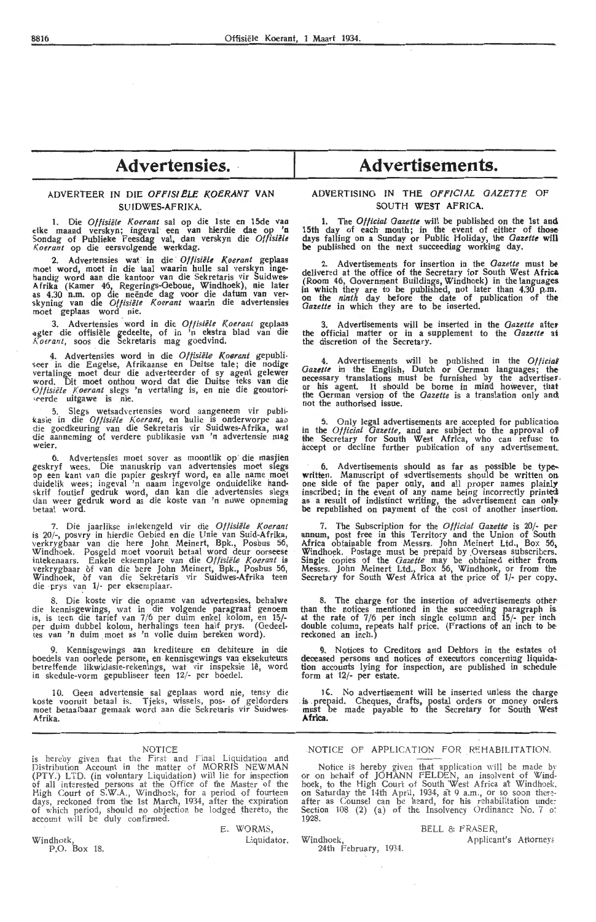## **Advertensies.**

#### **ADVERTEER IN DIE OFFISIELE KOERANT VAN SUIDWES-AFRIKA.**

I. Die *Oflisiele Koerant* sal op die lste en 15de vaa **etke maand verskyn; ingeval een van hierdie dae op 'n**  Sondag of Publieke Feesdag val, dan verskyn die *Oflisiele*  I{ *oerant* op die eersvolgende werkdag.

2. Advertensies wat in die *Oflisiele Koerant* geplaas moet word, moet in die taal waarin hulle sal verskyn ingehandig word aan die kantoor van die Sekretaris vir Suidwes-A frika (Kamer 46, Regerings-Oeboue, Windhoek), nie later as 4.30 n.m. op die neende dag voor die datum van ver- -skyning van die *Oflisiele Koerant* waarin die advertensies moet geplaas word nie.

3. Advertensies word in die *Of fisiele Koe rant* geplaas agter die offisiële gedeelte, of in 'n ekstra blad van die *K oerant,* soos die Sekretaris mag goedvind.

4. Advertensies word in die *Oflisiele K.oerant* gepubli seer in die Engelse, Afrikaanse en Duitse tale; die nodige ve rtalinge moet deur die adverteerder of sy agent gelewer word. Dit moet onthou word dat die Duitse teks van die Olitsiele Koerant slegs 'n vertaling is, en nie die geoutori seerde uitgawe is nie.

5. Slegs wetsadvertensies word aangeneem vir publi-<br>kasie in die *Offisiële Koerant*, en hulle is onderworpe aas<br>die goedkeuring van die Sekretaris vir Suidwes-Afrika, wat die aanneming of verdere publikasie van 'n advertensie mag weier.

6. Advertensies moet sover as moontlik op die masjien geskryf wees. Die manuskrip van advertensies moet slegs op een kant van die papier geskryf word, en alle name moet duidelik wees; ingeval 'n naam ingevolge onduidelike handskrif foutief gedruk word, dan kan die advertensies slegs<br>dan weer gedruk word as die koste van 'n nuwe opneming betaal word.

7. Die jaarlikse in tekengeld vir die Offisiële Koerant is 20/-, posvry in hierdie Gebied en die Unie van Suid-Afrika, verkrygbaar van die here John Meinert, Bpk., Posbus 56, Windhoek. Posgeld moet vooruit betaal word deur oorseese iniekenaars. Enkele eksemplare van die *<sup>0</sup> /fisiiile l(oerant* is verkrygbaar of van die here John Meinert, Bpk., Posbus 56, Windhoek, of van die Sekretaris vir Suidwes-Afrika teen die prys van 1/- per eksemplaar.

8. Die koste vir die opname van advertensies, behalwe die kennisgewings, wat in die volgende paragraaf genoem is, is teen die tarief van 7 /6 per duim enkel kolom, en 15/ per duim dubbel kolom, herhalings teen half prys. (Gedeeltes van 'n duim moet as 'n volle duim bereken word).

9. Kennisgewings aan krediteure en debiteure in die boedels van oorlede persone, en kennisgewings van eksekuteurs be1reffende likwidasie-rekenings, wat vir inspeksie le, word in skedule-vorm gepublisee r teen 12/- per boedel.

10. Geen advertensie sal geplaas word nie, tensy die koste vooruit betaal is. Tjeks, wissels, pos- of geldorders moet betaalbaar gemaak word aan die Sekretaris vir Suidwes-**Afrika.** 

#### NOTICE

is hereby given that the First and Final Liquidation and Distribution Account in the matter of MORRIS NEWMAN (PTY.) LTD. (in voluntary Liquidation) will lie for inspection<br>of all interested persons at the Office of the Master of the High Court of S.W.A., Windhoek, for a period of fourteen<br>days, reckoned from the 1st March, 1934, after the expiration of which period, should no objection be lodged thereto, the account will be duly confirmed.

E. WORMS,

### **Advertisements.**

#### **ADVERTISING IN THE OFFICIAL GAZETTE** OF **SOUTH WEST AFRICA.**

**1. The** *Official Gazette* **will be** published **on the 1st and 15th** day of each· month; in the event of either of **those**  days falling on a Sunday or Public Holiday, the *Gazette* **will be** published on the next succeeding working day.

2. Advertisements for insertion in the *Gazette* must be delivered at the office of the Secretary for South West **Africa**  (Room 46, Government Buildings, Windhoek) in the languages in which they are to be published, not later than 4.30 p,.m. on the *ninth* day before the date of publication of the *Gazette* in which they are to be inserted.

3. Advertisements will be inserted in the *Gazette* aftel' the official matter or in a supplement to the *Gazette* **at**  the discretion of the Secretary.

4. Advertisements will be published in the *Official Gazette* in the English, Dutch or German languages; the necessary translations must be furnished by the advertiser. or his agent. It should be borne in mind however, that the German version of the *Gazette* is a translation only and not the authorised issue.

5. Only legal advertisements are accepted for publication in the *Offi cial Gazette,* and are subject to the approval ofi the Secretary for South West Africa, who can refuse to. accept or decline further publication of any advertisement..

6. Advertisements should as far as possible be type-. **written.** Manuscript of advertisements should be written on. one side of the paper only, and all proper names plainly inscribed; in the event of any name being incorrectly printed as a result of indistinct writing, the advertisement can onlybe republished on payment of the cost of another insertion.

7. The Subscription for the *Official Gazette* is 20/- per- annum, post free in this Territory and the Union of South Africa obtainable from Messrs. John Meinert Ltd., Box 56. Windhoek. Postage must be prepaid by Overseas subscribers.<br>Single copies of the *Gazette* may be obtained either from Messrs. John Meinert Ltd., Box 56, Windhoek, or from the Secretary for South West Africa at the price of 1/- per copy,

8. The charge for the insertion of advertisements other-<br>than the notices mentioned in the succeeding paragraph is at the rate of 7/6 per inch single column and 15/- per inch, double column, repeats half price. (Fractions of an inch *to* be· reckoned an inch.)

9. Notices *to* Creditors and Debtors in the estates ot deceased persons and notices of executors concerning liquida-<br>tion accounts lying for inspection, are published in schedule form at 12/- per estate.

16. No advertisement will be inserted unless the charge is . prepaid. Cheques, drafts, postal orders or money orders. must be made payable to the Secretary for South West **Africa.** 

NOTICE OF APPLICATION FOR REHABILITATION.

Notice is hereby given that application will be made by or on behalf of JOHANN FELDEN, an insolvent of Windhoek, to the High Court of South West Africa at Windhoek. on Saturday the 14th April , 1934, at 9 a.m., or so *soon* ther~- after as Counse l can be heard, for his rehabilitation unde:· Section 108 (2) (a) of the Insolvency Ordinance No. 7 of 1928.

#### BELL & FRASER,

24th February, 1934.

Windhoek, Liquidator. Windhoek , Applicant's Attorney~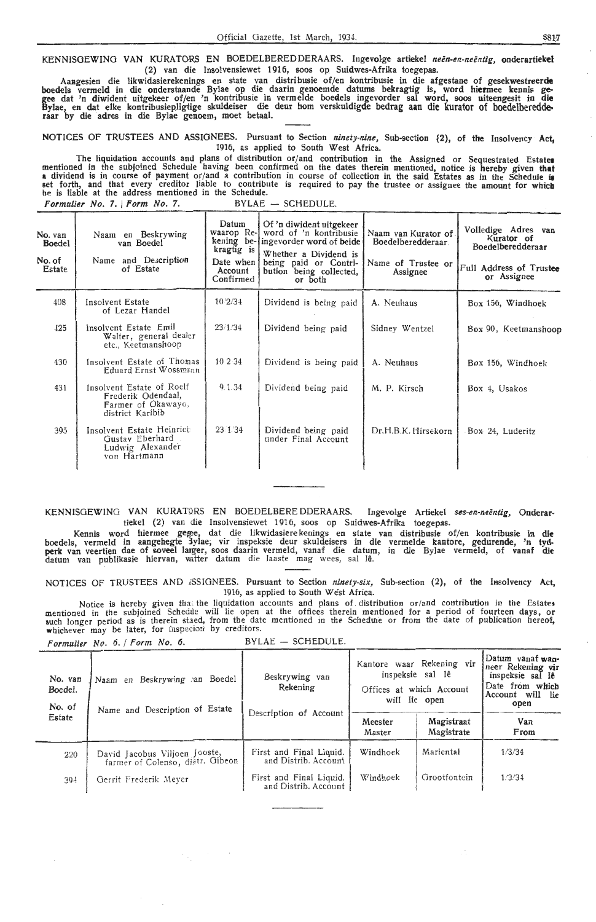KENNISOEWINO VAN KURATORS EN BOEDELBEREDDERAARS. lngevo1ge artiekel *neen-en-neentig,* onderartiekel (2) van die Insolvensiewet 1916, soos op Suidwes-Afrika toegepas.

Aangesien die likwidasierekenings en state van distribusie of/en kontribusie in die afgestane of gesekwestreerde boedels vermeld in die onderstaande Bylae op die daarin genoemde datums bekragtig is, word hi**er**mee kennis gegee dat 'n diwident uitgekeer of/en 'n kontribusie in vermelde boedels ingevorder sal word, soos uiteengesit in die Bylae, en dat elke kontribusiepligtige skuldeiser die deur hom verskuldigde bedrag aan die kurator of boedelberedde<br>raar by die adres in die Bylae genoem, moet betaal.

NOTICES OF TRUSTEES AND ASSIGNEES. Pursuant to Section *ninety-nine,* Sub-section t2), of the Insolvency **Act,**  1916, as applied to South West Africa.

. The liquidation accounts and plans of distribution or/ and contribution in the Assigned or Sequestrated Estates mentioned in the subjoined Schedule having been confirmed on the dates therein mentioned, notice is hereby given that **a** dividend is in course of payment or/and a contribution in course of collection in the said Estates as in the Schedule is set forth, and that every creditor liable *to* contribute is required to pay the trustee or assignee the amount for whicb he is liable at the address mentioned in the Schedtile. Formulier No. 7. | Form No. 7. BYLAE  $-$  SCHEDULE.

| Naam en Beskrywing<br>van Boedel<br>Name and Description<br>of Estate                     | Datum<br>kragtig is<br>Account<br>Confirmed | Of 'n diwident uitgekeer<br>word of 'n kontribusie<br>Whether a Dividend is<br>being paid or Contri-<br>bution<br>being collected,<br>or both | Boedelberedderaar<br>Name of Trustee or<br>Assignee | Volledige Adres van<br>Kurator of<br>Boedelberedderaar<br>Full Address of Trustee<br>or Assignee |
|-------------------------------------------------------------------------------------------|---------------------------------------------|-----------------------------------------------------------------------------------------------------------------------------------------------|-----------------------------------------------------|--------------------------------------------------------------------------------------------------|
| Insolvent Estate<br>of Lezar Handel                                                       | 102/34                                      | Dividend is being paid                                                                                                                        | A. Neuhaus                                          | Box 156, Windhoek                                                                                |
| Insolvent Estate Emil<br>Walter, general dealer<br>etc., Keetmanshoop                     | 23/1/34                                     | Dividend being paid                                                                                                                           | Sidney Wentzel                                      | Box 90, Keetmanshoop                                                                             |
| Insolvent Estate of Thomas<br>Eduard Ernst Wossmann                                       | 10234                                       | Dividend is being paid                                                                                                                        | A. Neuhaus                                          | Box 156, Windhoek                                                                                |
| Insolvent Estate of Roelf<br>Frederik Odendaal,<br>Farmer of Okawayo,<br>district Karibib | 9.1.34                                      | Dividend being paid                                                                                                                           | M. P. Kirsch                                        | Box 4, Usakos                                                                                    |
| Insolvent Estate Heinrich<br>Gustav Eberhard<br>Ludwig Alexander<br>von Hartmann          | 23 1/34                                     | Dividend being paid<br>under Final Account                                                                                                    | Dr.H.B.K. Hirsekorn                                 | Box 24, Luderitz                                                                                 |
|                                                                                           |                                             |                                                                                                                                               | waarop Re-<br>Date when I                           | Naam van Kurator of.<br>kening be-lingevorder word of beide                                      |

KENNISGEWING VAN KURATORS EN BOEDELBERE DDERAARS. Ingevolge Artiekel ses-en-neëntig, Onderar• tiekel (2) van die lnsolvensiewet 1916, soos op Suidwes-Afrika toegepas.

Kennis word hiermee gegee, dat die likwidasiere.kenings en state van distribusie of/en kontribusie in die boedels, vermeld in aangehegte 3ylae, vir inspeksie deur skuldeisers in die vermelde kantore, gedurende, 'n tyd<br>perk van veertien dae of soveel langer, soos daarin vermeld, vanaf die datum, in die Bylae vermeld, of vanaf d datum van publikasie hiervan, watter datum die laaste mag wees, sal lê.

NOTICES OF TRUSTEES AND *i*SSIGNEES. Pursuant to Section *ninety-six*, Sub-section (2), of the Insolvency Act 1916, as applied to South West Africa.<br>1916, as applied to South West Africa.<br>1916, as applied to South West Africa.

Notice is hereby given that the liquidation accounts and plans of distribution or/and contribution in the Estates mentioned in the subjoined Schedue will lie open at the offices therein mentioned for a period of fourteen days, or<br>such longer period as is therein staed, from the date mentioned in the Scheduie or from the date of public whichever may be later, for inspecion by creditors.

|                              | Formulier No. 6. / Form No. 6.                                    | $BYLAE$ - SCHEDULE.                                  |                                                                                            |                          |                                                                                                          |  |
|------------------------------|-------------------------------------------------------------------|------------------------------------------------------|--------------------------------------------------------------------------------------------|--------------------------|----------------------------------------------------------------------------------------------------------|--|
| No. van<br>Boedel.<br>No. of | Naam en Beskrywing an Boedel<br>Name and Description of Estate    | Beskrywing van<br>Rekening<br>Description of Account | Kantore waar Rekening vir<br>inspeksie sal lê<br>Offices at which Account<br>will lie open |                          | Datum vanaf wan-<br>neer Rekening vir<br>inspeksie sal le<br>Date from which<br>Account will lie<br>open |  |
| Estate                       |                                                                   |                                                      | Meester<br>Master                                                                          | Magistraat<br>Magistrate | Van<br>From                                                                                              |  |
| 220                          | David Jacobus Viljoen Jooste,<br>farmer of Colenso, distr. Gibeon | First and Final Liquid.<br>and Distrib. Account      | Windhoek                                                                                   | Mariental                | 1/3/34                                                                                                   |  |
| 394                          | Gerrit Frederik Meyer                                             | First and Final Liquid.<br>and Distrib. Account      | Windhoek                                                                                   | Grootfontein             | 1/3/34                                                                                                   |  |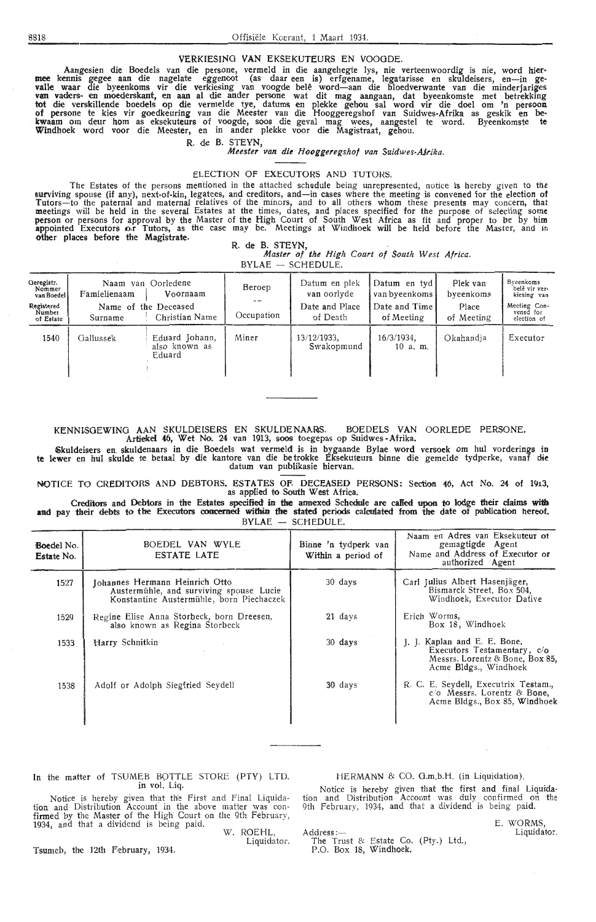#### VERKIESING VAN EKSEKUTEURS EN VOOGDE.

-Aangesien die Boedels van die persone, vermeld in die aangehegte lys, nie verteenwoordig is nie, word hier<br>-mee kennis gegee aan die nagelate eggenoot (as daar een is) erfgename, legatarisse en skuldeisers, en—in ge valle waar die byeenkoms vir die verkiesing van voogde belê word—aan die bloedverwante van die minderjariges<br>van vaders- en moederskant, en aan al die ander persone wat dit mag aangaan, dat byeenkomste met betrekking tot die verskillende boedels op die vermelde tye, datums en plekke gehou sal word vir die doel om 'n persoon of persone te kies vir goedkeuring van die Meester van die Hooggeregshof van Suidwes-Afrika as geskik en bekwaam om deur horn as eksekuteurs of voogde, soos die geval mag wees, aangestel te word. Byeenkomste te Windhoek word voor die Meester, en in antler plekke voor die Magistraat, gehou.

#### R. de B. STEYN,

*Meester van die Hooggeregshof van Suidwes-AJrika.* 

ELECTION OF EXECUTORS AND TUTORS.<br>The Estates of the persons mentioned in the attached schedule being unrepresented, notice is hereby given to the The Estates of the persons mentioned in the attached schedule being unrepresented, notice is hereby given to the<br>surviving spouse (if any), next-of-kin, legatees, and creditors, and—in cases where the meeting is convened f Tutors-to the paternal and maternal relatives of the minors, and to all others whom these presents may concern, that meetings will be held in the several Estates at the times, dates, and places specified for the purpose of selecting some<br>person or persons for approval by the Master of the High Court of South West Africa as fit and proper other places before the Magistrate.

#### **R. de** 8. **STEYN,**

*Master of the High Court of South West Africa.* 

 $BYLAE - SCHEDULE$ .

| Geregistr.<br>Nommer<br>van Boedel | Naam van Oorledene<br>Famielienaam<br>Voornaam |                                           | Beroep     | Datum en plek<br>van oorlyde | Datum en tyd<br>van byeenkoms | Plek van<br>byeenkoms | Byeenkoms<br>belê vir ver-<br>kiesing van |
|------------------------------------|------------------------------------------------|-------------------------------------------|------------|------------------------------|-------------------------------|-----------------------|-------------------------------------------|
| Registered<br>Number<br>of Estate  | Surname                                        | Name of the Deceased<br>Christian Name    | Occupation | Date and Place<br>of Death   | Date and Time<br>of Meeting   | Place<br>of Meeting   | Meeting Con-<br>vened for<br>election of  |
| 1540                               | Gallussek                                      | Eduard Johann,<br>also known as<br>Eduard | Miner      | 13/12/1933.<br>Swakopmund    | 16/3/1934.<br>$10$ a.m.       | Okahandia             | Executor                                  |

### KENNISGEWING AAN SKULDEISERS EN SKULDENAARS. BOEDELS VAN OORLEDE PERSONE.

Artiekel 46, Wet No. 24 van 1913, soos toegepas op Suidwes -Afrika.

~kuldeisers en. skuldenaars in die Boedels wat vermeld is in bygaande Bylae word versoek om hul vorderings in te lewer en hul skulde te betaal by die kantore van die betrokke Eksekuteurs binne die gemelde tydperke, vanaf die datum van publikasie hiervan.

NOTICE TO CREDITORS AND DEBTORS. ESTATES OF. DECEASED PERSONS: Section 46, Act No. 24 of 1913.<br>as applied to South West Africa.

Creditors and Debtors in the Estates specified in the annexed Schedule are called upon to lodge their claims with and pay their debts to the Executors concerned within the stated periods calculated from the date of publication hereof. BYLAE SCHEDULE.

| <b>Boedel No.</b><br>Estate No. | BOEDEL VAN WYLE<br>ESTATE LATE                                                                                        | Binne 'n tydperk van<br>Within a period of | Naam en Adres van Eksekuteur of<br>gemagtigde Agent<br>Name and Address of Executor or<br>authorized Agent              |
|---------------------------------|-----------------------------------------------------------------------------------------------------------------------|--------------------------------------------|-------------------------------------------------------------------------------------------------------------------------|
| 1527                            | Johannes Hermann Heinrich Otto<br>Austermühle, and surviving spouse Lucie<br>Konstantine Austermühle, born Piechaczek | 30 days                                    | Carl Julius Albert Hasenjäger,<br>Bismarck Street, Box 504,<br>Windhoek, Executor Dative                                |
| 1529                            | Regine Elise Anna Storbeck, born Dreesen,<br>also known as Regina Storbeck                                            | 21 days                                    | Erich Worms,<br>Box 18, Windhoek                                                                                        |
| 1533                            | Harry Schnitkin                                                                                                       | 30 days                                    | J. J. Kaplan and E. E. Bone,<br>Executors Testamentary, c/o<br>Messrs. Lorentz & Bone, Box 85,<br>Acme Bldgs., Windhoek |
| 1538                            | Adolf or Adolph Siegfried Seydell                                                                                     | 30 days                                    | R. C. E. Seydell, Executrix Testam.,<br>$c/\sigma$ Messrs. Lorentz & Bone,<br>Acme Bldgs., Box 85, Windhoek             |

## In the matter of TSUMEB BOTTLE STORE (PTY) LTD.

in vol. Liq.<br>Notice is hereby given that the First and Final Liquida Notice is hereby given that the First and Final Liquida-<br>tion and Distribution Account in the above matter was con-<br>firmed by the Master of the High Court on the 9th February<br>1934, and that a dividend is being paid.

Liquidator

Tsumeb, the 12th February, 1934.

#### f-lERMANN 8: CO. O.m.b.H. (in Liquidation).

Notice is hereby given that the first and final Liquidation and Distribution Account was duly confirmed on the 9th February, 1934, and that a dividend is being paid.

Address:—<br>The Trust & Estate Co. (Pty.) Ltd., P.O. Box 18, Windhoek.

E. WORMS, Liquidator.